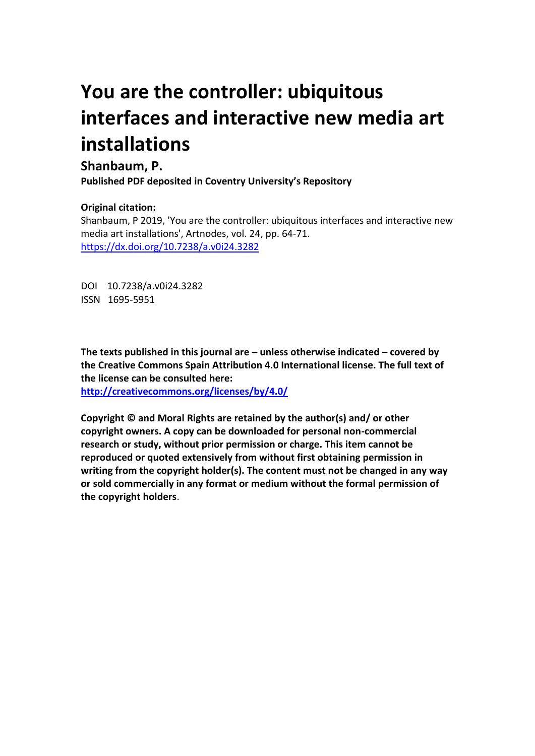## **You are the controller: ubiquitous interfaces and interactive new media art installations**

## **Shanbaum, P.**

**Published PDF deposited in Coventry University's Repository** 

## **Original citation:**

Shanbaum, P 2019, 'You are the controller: ubiquitous interfaces and interactive new media art installations', Artnodes, vol. 24, pp. 64-71. https://dx.doi.org/10.7238/a.v0i24.3282

DOI 10.7238/a.v0i24.3282 ISSN 1695-5951

**The texts published in this journal are – unless otherwise indicated – covered by the Creative Commons Spain Attribution 4.0 International license. The full text of the license can be consulted here:**

**<http://creativecommons.org/licenses/by/4.0/>**

**Copyright © and Moral Rights are retained by the author(s) and/ or other copyright owners. A copy can be downloaded for personal non-commercial research or study, without prior permission or charge. This item cannot be reproduced or quoted extensively from without first obtaining permission in writing from the copyright holder(s). The content must not be changed in any way or sold commercially in any format or medium without the formal permission of the copyright holders**.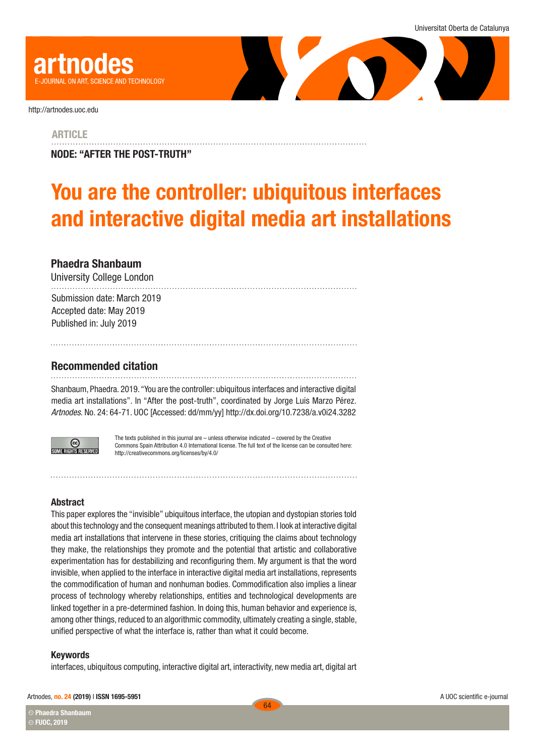

<http://artnodes.uoc.edu>

**ARTICLE** 

NODE: "AFTER THE POST-TRUTH"

# You are the controller: ubiquitous interfaces and interactive digital media art installations

## <span id="page-1-0"></span>Phaedra Shanbaum

University College London

Submission date: March 2019 Accepted date: May 2019 Published in: July 2019

## Recommended citation

Shanbaum, Phaedra. 2019. "You are the controller: ubiquitous interfaces and interactive digital media art installations". In "After the post-truth", coordinated by Jorge Luis Marzo Pérez. *Artnodes*. No. 24: [64](#page-1-0)[-71.](#page-8-0) UOC [Accessed: dd/mm/yy] <http://dx.doi.org/10.7238/a.v0i24.3282>



The texts published in this journal are – unless otherwise indicated – covered by the Creative Commons Spain Attribution 4.0 International license. The full text of the license can be consulted here: <http://creativecommons.org/licenses/by/4.0/>

#### **Abstract**

This paper explores the "invisible" ubiquitous interface, the utopian and dystopian stories told about this technology and the consequent meanings attributed to them. I look at interactive digital media art installations that intervene in these stories, critiquing the claims about technology they make, the relationships they promote and the potential that artistic and collaborative experimentation has for destabilizing and reconfiguring them. My argument is that the word invisible, when applied to the interface in interactive digital media art installations, represents the commodification of human and nonhuman bodies. Commodification also implies a linear process of technology whereby relationships, entities and technological developments are linked together in a pre-determined fashion. In doing this, human behavior and experience is, among other things, reduced to an algorithmic commodity, ultimately creating a single, stable, unified perspective of what the interface is, rather than what it could become.

#### Keywords

interfaces, ubiquitous computing, interactive digital art, interactivity, new media art, digital art

#### Artnodes, no. 24 (2019) | ISSN 1695-5951

Phaedra Shanbaum **CC CC** FUOC, 2019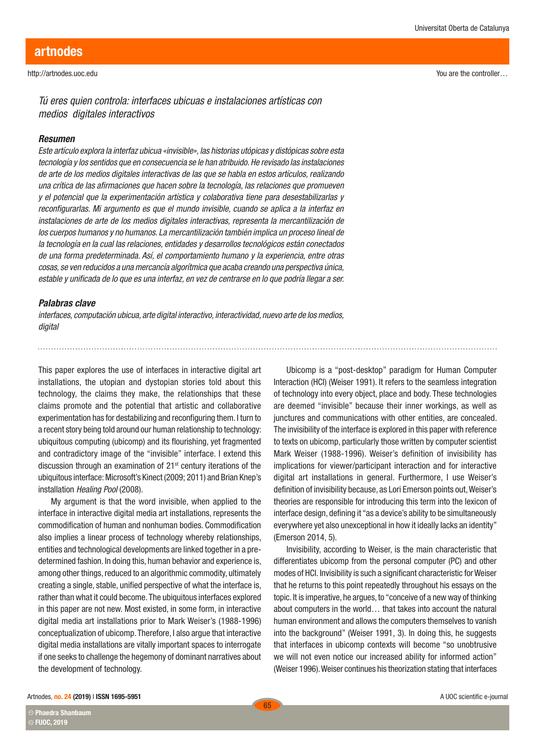You are the controller…

*Tú eres quien controla: interfaces ubicuas e instalaciones artísticas con medios digitales interactivos* 

#### *Resumen*

*Este artículo explora la interfaz ubicua «invisible», las historias utópicas y distópicas sobre esta tecnología y los sentidos que en consecuencia se le han atribuido. He revisado las instalaciones de arte de los medios digitales interactivas de las que se habla en estos artículos, realizando una crítica de las afirmaciones que hacen sobre la tecnología, las relaciones que promueven y el potencial que la experimentación artística y colaborativa tiene para desestabilizarlas y reconfigurarlas. Mi argumento es que el mundo invisible, cuando se aplica a la interfaz en instalaciones de arte de los medios digitales interactivas, representa la mercantilización de los cuerpos humanos y no humanos. La mercantilización también implica un proceso lineal de la tecnología en la cual las relaciones, entidades y desarrollos tecnológicos están conectados de una forma predeterminada. Así, el comportamiento humano y la experiencia, entre otras cosas, se ven reducidos a una mercancía algorítmica que acaba creando una perspectiva única, estable y unificada de lo que es una interfaz, en vez de centrarse en lo que podría llegar a ser.*

#### *Palabras clave*

*interfaces, computación ubicua, arte digital interactivo, interactividad, nuevo arte de los medios, digital*

This paper explores the use of interfaces in interactive digital art installations, the utopian and dystopian stories told about this technology, the claims they make, the relationships that these claims promote and the potential that artistic and collaborative experimentation has for destabilizing and reconfiguring them. I turn to a recent story being told around our human relationship to technology: ubiquitous computing (ubicomp) and its flourishing, yet fragmented and contradictory image of the "invisible" interface. I extend this discussion through an examination of  $21<sup>st</sup>$  century iterations of the ubiquitous interface: Microsoft's Kinect (2009; 2011) and Brian Knep's installation *Healing Pool* (2008).

My argument is that the word invisible, when applied to the interface in interactive digital media art installations, represents the commodification of human and nonhuman bodies. Commodification also implies a linear process of technology whereby relationships, entities and technological developments are linked together in a predetermined fashion. In doing this, human behavior and experience is, among other things, reduced to an algorithmic commodity, ultimately creating a single, stable, unified perspective of what the interface is, rather than what it could become. The ubiquitous interfaces explored in this paper are not new. Most existed, in some form, in interactive digital media art installations prior to Mark Weiser's (1988-1996) conceptualization of ubicomp. Therefore, I also argue that interactive digital media installations are vitally important spaces to interrogate if one seeks to challenge the hegemony of dominant narratives about the development of technology.

Ubicomp is a "post-desktop" paradigm for Human Computer Interaction (HCI) (Weiser 1991). It refers to the seamless integration of technology into every object, place and body. These technologies are deemed "invisible" because their inner workings, as well as junctures and communications with other entities, are concealed. The invisibility of the interface is explored in this paper with reference to texts on ubicomp, particularly those written by computer scientist Mark Weiser (1988-1996). Weiser's definition of invisibility has implications for viewer/participant interaction and for interactive digital art installations in general. Furthermore, I use Weiser's definition of invisibility because, as Lori Emerson points out, Weiser's theories are responsible for introducing this term into the lexicon of interface design, defining it "as a device's ability to be simultaneously everywhere yet also unexceptional in how it ideally lacks an identity" (Emerson 2014, 5).

Invisibility, according to Weiser, is the main characteristic that differentiates ubicomp from the personal computer (PC) and other modes of HCI. Invisibility is such a significant characteristic for Weiser that he returns to this point repeatedly throughout his essays on the topic. It is imperative, he argues, to "conceive of a new way of thinking about computers in the world… that takes into account the natural human environment and allows the computers themselves to vanish into the background" (Weiser 1991, 3). In doing this, he suggests that interfaces in ubicomp contexts will become "so unobtrusive we will not even notice our increased ability for informed action" (Weiser 1996). Weiser continues his theorization stating that interfaces

Phaedra Shanbaum **CC**

**CC** FUOC, 2019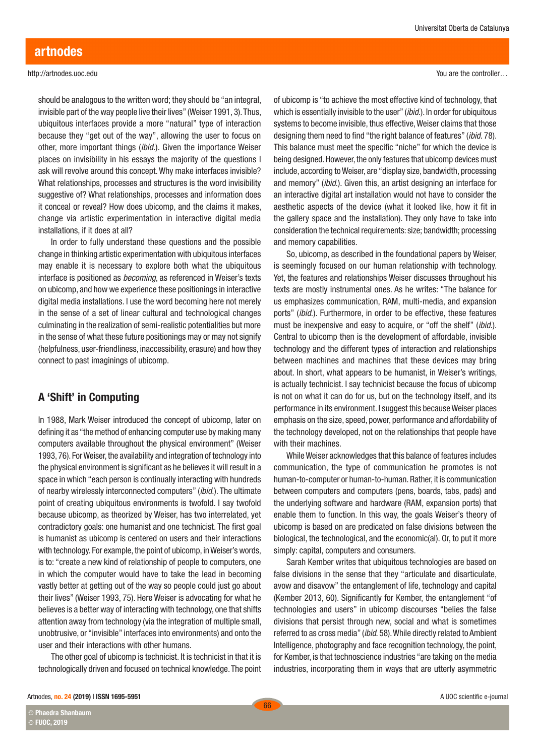should be analogous to the written word; they should be "an integral, invisible part of the way people live their lives" (Weiser 1991, 3). Thus, ubiquitous interfaces provide a more "natural" type of interaction because they "get out of the way", allowing the user to focus on other, more important things (*ibid*.). Given the importance Weiser places on invisibility in his essays the majority of the questions I ask will revolve around this concept. Why make interfaces invisible? What relationships, processes and structures is the word invisibility suggestive of? What relationships, processes and information does it conceal or reveal? How does ubicomp, and the claims it makes, change via artistic experimentation in interactive digital media installations, if it does at all?

In order to fully understand these questions and the possible change in thinking artistic experimentation with ubiquitous interfaces may enable it is necessary to explore both what the ubiquitous interface is positioned as *becoming*, as referenced in Weiser's texts on ubicomp, and how we experience these positionings in interactive digital media installations. I use the word becoming here not merely in the sense of a set of linear cultural and technological changes culminating in the realization of semi-realistic potentialities but more in the sense of what these future positionings may or may not signify (helpfulness, user-friendliness, inaccessibility, erasure) and how they connect to past imaginings of ubicomp.

## A 'Shift' in Computing

In 1988, Mark Weiser introduced the concept of ubicomp, later on defining it as "the method of enhancing computer use by making many computers available throughout the physical environment" (Weiser 1993, 76). For Weiser, the availability and integration of technology into the physical environment is significant as he believes it will result in a space in which "each person is continually interacting with hundreds of nearby wirelessly interconnected computers" (*ibid*.). The ultimate point of creating ubiquitous environments is twofold. I say twofold because ubicomp, as theorized by Weiser, has two interrelated, yet contradictory goals: one humanist and one technicist. The first goal is humanist as ubicomp is centered on users and their interactions with technology. For example, the point of ubicomp, in Weiser's words, is to: "create a new kind of relationship of people to computers, one in which the computer would have to take the lead in becoming vastly better at getting out of the way so people could just go about their lives" (Weiser 1993, 75). Here Weiser is advocating for what he believes is a better way of interacting with technology, one that shifts attention away from technology (via the integration of multiple small, unobtrusive, or "invisible" interfaces into environments) and onto the user and their interactions with other humans.

The other goal of ubicomp is technicist. It is technicist in that it is technologically driven and focused on technical knowledge. The point You are the controller…

of ubicomp is "to achieve the most effective kind of technology, that which is essentially invisible to the user" (*ibid*.). In order for ubiquitous systems to become invisible, thus effective, Weiser claims that those designing them need to find "the right balance of features" (*ibid*. 78). This balance must meet the specific "niche" for which the device is being designed. However, the only features that ubicomp devices must include, according to Weiser, are "display size, bandwidth, processing and memory" (*ibid*.). Given this, an artist designing an interface for an interactive digital art installation would not have to consider the aesthetic aspects of the device (what it looked like, how it fit in the gallery space and the installation). They only have to take into consideration the technical requirements: size; bandwidth; processing and memory capabilities.

So, ubicomp, as described in the foundational papers by Weiser, is seemingly focused on our human relationship with technology. Yet, the features and relationships Weiser discusses throughout his texts are mostly instrumental ones. As he writes: "The balance for us emphasizes communication, RAM, multi-media, and expansion ports" (*ibid*.). Furthermore, in order to be effective, these features must be inexpensive and easy to acquire, or "off the shelf" (*ibid*.). Central to ubicomp then is the development of affordable, invisible technology and the different types of interaction and relationships between machines and machines that these devices may bring about. In short, what appears to be humanist, in Weiser's writings, is actually technicist. I say technicist because the focus of ubicomp is not on what it can do for us, but on the technology itself, and its performance in its environment. I suggest this because Weiser places emphasis on the size, speed, power, performance and affordability of the technology developed, not on the relationships that people have with their machines.

While Weiser acknowledges that this balance of features includes communication, the type of communication he promotes is not human-to-computer or human-to-human. Rather, it is communication between computers and computers (pens, boards, tabs, pads) and the underlying software and hardware (RAM, expansion ports) that enable them to function. In this way, the goals Weiser's theory of ubicomp is based on are predicated on false divisions between the biological, the technological, and the economic(al). Or, to put it more simply: capital, computers and consumers.

Sarah Kember writes that ubiquitous technologies are based on false divisions in the sense that they "articulate and disarticulate, avow and disavow" the entanglement of life, technology and capital (Kember 2013, 60). Significantly for Kember, the entanglement "of technologies and users" in ubicomp discourses "belies the false divisions that persist through new, social and what is sometimes referred to as cross media" (*ibid*. 58). While directly related to Ambient Intelligence, photography and face recognition technology, the point, for Kember, is that technoscience industries "are taking on the media industries, incorporating them in ways that are utterly asymmetric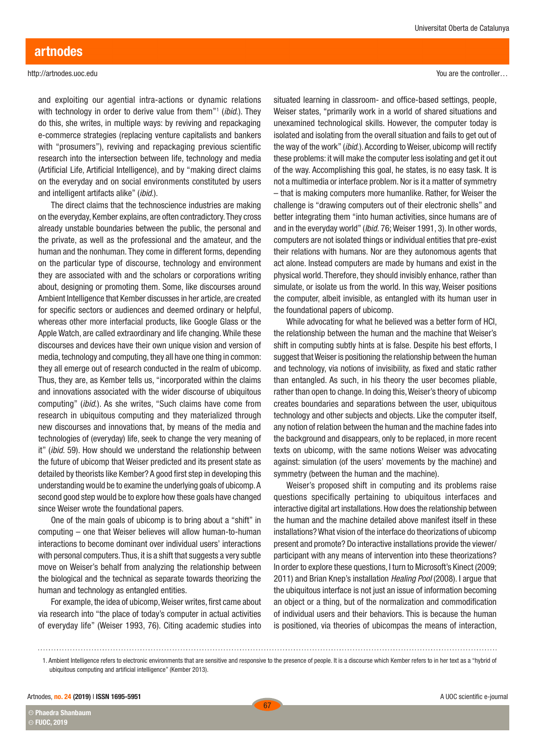and exploiting our agential intra-actions or dynamic relations with technology in order to derive value from them"1 (*ibid*.). They do this, she writes, in multiple ways: by reviving and repackaging e-commerce strategies (replacing venture capitalists and bankers with "prosumers"), reviving and repackaging previous scientific research into the intersection between life, technology and media (Artificial Life, Artificial Intelligence), and by "making direct claims on the everyday and on social environments constituted by users and intelligent artifacts alike" (*ibid*.).

The direct claims that the technoscience industries are making on the everyday, Kember explains, are often contradictory. They cross already unstable boundaries between the public, the personal and the private, as well as the professional and the amateur, and the human and the nonhuman. They come in different forms, depending on the particular type of discourse, technology and environment they are associated with and the scholars or corporations writing about, designing or promoting them. Some, like discourses around Ambient Intelligence that Kember discusses in her article, are created for specific sectors or audiences and deemed ordinary or helpful, whereas other more interfacial products, like Google Glass or the Apple Watch, are called extraordinary and life changing. While these discourses and devices have their own unique vision and version of media, technology and computing, they all have one thing in common: they all emerge out of research conducted in the realm of ubicomp. Thus, they are, as Kember tells us, "incorporated within the claims and innovations associated with the wider discourse of ubiquitous computing" (*ibid*.). As she writes, "Such claims have come from research in ubiquitous computing and they materialized through new discourses and innovations that, by means of the media and technologies of (everyday) life, seek to change the very meaning of it" (*ibid.* 59). How should we understand the relationship between the future of ubicomp that Weiser predicted and its present state as detailed by theorists like Kember? A good first step in developing this understanding would be to examine the underlying goals of ubicomp. A second good step would be to explore how these goals have changed since Weiser wrote the foundational papers.

One of the main goals of ubicomp is to bring about a "shift" in computing – one that Weiser believes will allow human-to-human interactions to become dominant over individual users' interactions with personal computers. Thus, it is a shift that suggests a very subtle move on Weiser's behalf from analyzing the relationship between the biological and the technical as separate towards theorizing the human and technology as entangled entities.

For example, the idea of ubicomp, Weiser writes, first came about via research into "the place of today's computer in actual activities of everyday life" (Weiser 1993, 76). Citing academic studies into You are the controller…

situated learning in classroom- and office-based settings, people, Weiser states, "primarily work in a world of shared situations and unexamined technological skills. However, the computer today is isolated and isolating from the overall situation and fails to get out of the way of the work" (*ibid*.). According to Weiser, ubicomp will rectify these problems: it will make the computer less isolating and get it out of the way. Accomplishing this goal, he states, is no easy task. It is not a multimedia or interface problem. Nor is it a matter of symmetry – that is making computers more humanlike. Rather, for Weiser the challenge is "drawing computers out of their electronic shells" and better integrating them "into human activities, since humans are of and in the everyday world" (*Ibid.* 76; Weiser 1991, 3). In other words, computers are not isolated things or individual entities that pre-exist their relations with humans. Nor are they autonomous agents that act alone. Instead computers are made by humans and exist in the physical world. Therefore, they should invisibly enhance, rather than simulate, or isolate us from the world. In this way, Weiser positions the computer, albeit invisible, as entangled with its human user in the foundational papers of ubicomp.

While advocating for what he believed was a better form of HCI, the relationship between the human and the machine that Weiser's shift in computing subtly hints at is false. Despite his best efforts, I suggest that Weiser is positioning the relationship between the human and technology, via notions of invisibility, as fixed and static rather than entangled. As such, in his theory the user becomes pliable, rather than open to change. In doing this, Weiser's theory of ubicomp creates boundaries and separations between the user, ubiquitous technology and other subjects and objects. Like the computer itself, any notion of relation between the human and the machine fades into the background and disappears, only to be replaced, in more recent texts on ubicomp, with the same notions Weiser was advocating against: simulation (of the users' movements by the machine) and symmetry (between the human and the machine).

Weiser's proposed shift in computing and its problems raise questions specifically pertaining to ubiquitous interfaces and interactive digital art installations. How does the relationship between the human and the machine detailed above manifest itself in these installations? What vision of the interface do theorizations of ubicomp present and promote? Do interactive installations provide the viewer/ participant with any means of intervention into these theorizations? In order to explore these questions, I turn to Microsoft's Kinect (2009; 2011) and Brian Knep's installation *Healing Pool* (2008). I argue that the ubiquitous interface is not just an issue of information becoming an object or a thing, but of the normalization and commodification of individual users and their behaviors. This is because the human is positioned, via theories of ubicompas the means of interaction,

Artnodes, no. 24 (2019) I ISSN 1695-5951

Phaedra Shanbaum **CC CC** FUOC, 2019

<sup>1.</sup> Ambient Intelligence refers to electronic environments that are sensitive and responsive to the presence of people. It is a discourse which Kember refers to in her text as a "hybrid of ubiquitous computing and artificial intelligence" (Kember 2013).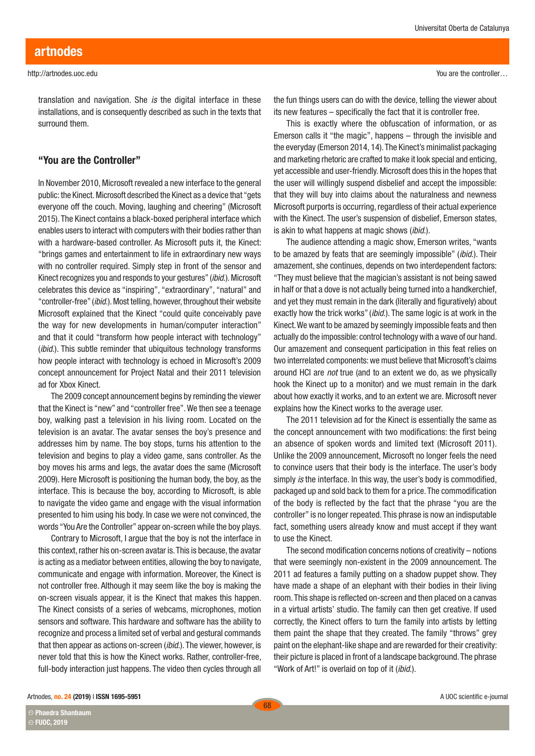Universitat Oberta de Catalunya

translation and navigation. She *is* the digital interface in these installations, and is consequently described as such in the texts that surround them.

#### "You are the Controller"

In November 2010, Microsoft revealed a new interface to the general public: the Kinect. Microsoft described the Kinect as a device that "gets everyone off the couch. Moving, laughing and cheering" (Microsoft 2015). The Kinect contains a black-boxed peripheral interface which enables users to interact with computers with their bodies rather than with a hardware-based controller. As Microsoft puts it, the Kinect: "brings games and entertainment to life in extraordinary new ways with no controller required. Simply step in front of the sensor and Kinect recognizes you and responds to your gestures" (*ibid*.). Microsoft celebrates this device as "inspiring", "extraordinary", "natural" and "controller-free" (*ibid*.). Most telling, however, throughout their website Microsoft explained that the Kinect "could quite conceivably pave the way for new developments in human/computer interaction" and that it could "transform how people interact with technology" (*ibid.*). This subtle reminder that ubiquitous technology transforms how people interact with technology is echoed in Microsoft's 2009 concept announcement for Project Natal and their 2011 television ad for Xbox Kinect.

The 2009 concept announcement begins by reminding the viewer that the Kinect is "new" and "controller free". We then see a teenage boy, walking past a television in his living room. Located on the television is an avatar. The avatar senses the boy's presence and addresses him by name. The boy stops, turns his attention to the television and begins to play a video game, sans controller. As the boy moves his arms and legs, the avatar does the same (Microsoft 2009). Here Microsoft is positioning the human body, the boy, as the interface. This is because the boy, according to Microsoft, is able to navigate the video game and engage with the visual information presented to him using his body. In case we were not convinced, the words "You Are the Controller" appear on-screen while the boy plays.

Contrary to Microsoft, I argue that the boy is not the interface in this context, rather his on-screen avatar is. This is because, the avatar is acting as a mediator between entities, allowing the boy to navigate, communicate and engage with information. Moreover, the Kinect is not controller free. Although it may seem like the boy is making the on-screen visuals appear, it is the Kinect that makes this happen. The Kinect consists of a series of webcams, microphones, motion sensors and software. This hardware and software has the ability to recognize and process a limited set of verbal and gestural commands that then appear as actions on-screen (*ibid*.). The viewer, however, is never told that this is how the Kinect works. Rather, controller-free, full-body interaction just happens. The video then cycles through all

the fun things users can do with the device, telling the viewer about its new features – specifically the fact that it is controller free.

This is exactly where the obfuscation of information, or as Emerson calls it "the magic", happens – through the invisible and the everyday (Emerson 2014, 14). The Kinect's minimalist packaging and marketing rhetoric are crafted to make it look special and enticing, yet accessible and user-friendly. Microsoft does this in the hopes that the user will willingly suspend disbelief and accept the impossible: that they will buy into claims about the naturalness and newness Microsoft purports is occurring, regardless of their actual experience with the Kinect. The user's suspension of disbelief, Emerson states, is akin to what happens at magic shows (*ibid*.).

The audience attending a magic show, Emerson writes, "wants to be amazed by feats that are seemingly impossible" (*ibid*.). Their amazement, she continues, depends on two interdependent factors: "They must believe that the magician's assistant is not being sawed in half or that a dove is not actually being turned into a handkerchief, and yet they must remain in the dark (literally and figuratively) about exactly how the trick works" (*ibid*.). The same logic is at work in the Kinect. We want to be amazed by seemingly impossible feats and then actually do the impossible: control technology with a wave of our hand. Our amazement and consequent participation in this feat relies on two interrelated components: we must believe that Microsoft's claims around HCI are *not* true (and to an extent we do, as we physically hook the Kinect up to a monitor) and we must remain in the dark about how exactly it works, and to an extent we are. Microsoft never explains how the Kinect works to the average user.

The 2011 television ad for the Kinect is essentially the same as the concept announcement with two modifications: the first being an absence of spoken words and limited text (Microsoft 2011). Unlike the 2009 announcement, Microsoft no longer feels the need to convince users that their body is the interface. The user's body simply *is* the interface. In this way, the user's body is commodified, packaged up and sold back to them for a price. The commodification of the body is reflected by the fact that the phrase "you are the controller" is no longer repeated. This phrase is now an indisputable fact, something users already know and must accept if they want to use the Kinect.

The second modification concerns notions of creativity – notions that were seemingly non-existent in the 2009 announcement. The 2011 ad features a family putting on a shadow puppet show. They have made a shape of an elephant with their bodies in their living room. This shape is reflected on-screen and then placed on a canvas in a virtual artists' studio. The family can then get creative. If used correctly, the Kinect offers to turn the family into artists by letting them paint the shape that they created. The family "throws" grey paint on the elephant-like shape and are rewarded for their creativity: their picture is placed in front of a landscape background. The phrase "Work of Art!" is overlaid on top of it (*ibid*.).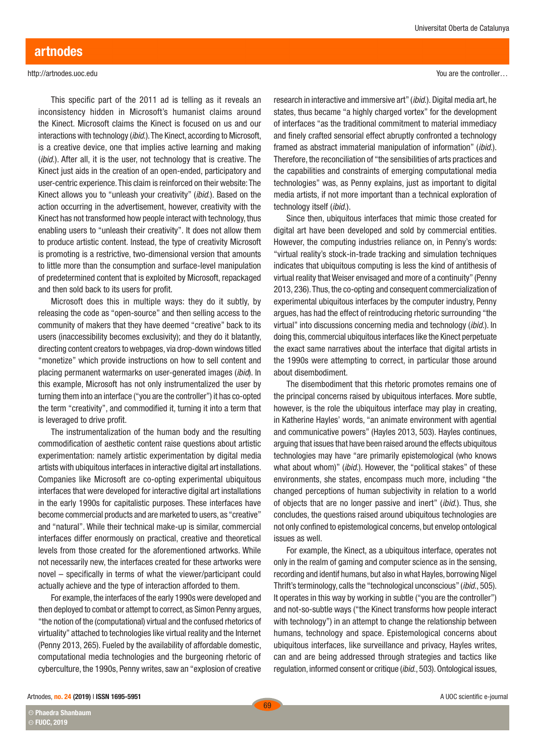This specific part of the 2011 ad is telling as it reveals an inconsistency hidden in Microsoft's humanist claims around the Kinect. Microsoft claims the Kinect is focused on us and our interactions with technology (*ibid*.). The Kinect, according to Microsoft, is a creative device, one that implies active learning and making (*ibid*.). After all, it is the user, not technology that is creative. The Kinect just aids in the creation of an open-ended, participatory and user-centric experience. This claim is reinforced on their website: The Kinect allows you to "unleash your creativity" (*ibid*.). Based on the action occurring in the advertisement, however, creativity with the Kinect has not transformed how people interact with technology, thus enabling users to "unleash their creativity". It does not allow them to produce artistic content. Instead, the type of creativity Microsoft is promoting is a restrictive, two-dimensional version that amounts to little more than the consumption and surface-level manipulation of predetermined content that is exploited by Microsoft, repackaged and then sold back to its users for profit.

Microsoft does this in multiple ways: they do it subtly, by releasing the code as "open-source" and then selling access to the community of makers that they have deemed "creative" back to its users (inaccessibility becomes exclusivity); and they do it blatantly, directing content creators to webpages, via drop-down windows titled "monetize" which provide instructions on how to sell content and placing permanent watermarks on user-generated images (*ibid*). In this example, Microsoft has not only instrumentalized the user by turning them into an interface ("you are the controller") it has co-opted the term "creativity", and commodified it, turning it into a term that is leveraged to drive profit.

The instrumentalization of the human body and the resulting commodification of aesthetic content raise questions about artistic experimentation: namely artistic experimentation by digital media artists with ubiquitous interfaces in interactive digital art installations. Companies like Microsoft are co-opting experimental ubiquitous interfaces that were developed for interactive digital art installations in the early 1990s for capitalistic purposes. These interfaces have become commercial products and are marketed to users, as "creative" and "natural". While their technical make-up is similar, commercial interfaces differ enormously on practical, creative and theoretical levels from those created for the aforementioned artworks. While not necessarily new, the interfaces created for these artworks were novel – specifically in terms of what the viewer/participant could actually achieve and the type of interaction afforded to them.

For example, the interfaces of the early 1990s were developed and then deployed to combat or attempt to correct, as Simon Penny argues, "the notion of the (computational) virtual and the confused rhetorics of virtuality" attached to technologies like virtual reality and the Internet (Penny 2013, 265). Fueled by the availability of affordable domestic, computational media technologies and the burgeoning rhetoric of cyberculture, the 1990s, Penny writes, saw an "explosion of creative You are the controller…

research in interactive and immersive art" (*ibid*.). Digital media art, he states, thus became "a highly charged vortex" for the development of interfaces "as the traditional commitment to material immediacy and finely crafted sensorial effect abruptly confronted a technology framed as abstract immaterial manipulation of information" (*ibid*.). Therefore, the reconciliation of "the sensibilities of arts practices and the capabilities and constraints of emerging computational media technologies" was, as Penny explains, just as important to digital media artists, if not more important than a technical exploration of technology itself (*ibid*.).

Since then, ubiquitous interfaces that mimic those created for digital art have been developed and sold by commercial entities. However, the computing industries reliance on, in Penny's words: "virtual reality's stock-in-trade tracking and simulation techniques indicates that ubiquitous computing is less the kind of antithesis of virtual reality that Weiser envisaged and more of a continuity" (Penny 2013, 236). Thus, the co-opting and consequent commercialization of experimental ubiquitous interfaces by the computer industry, Penny argues, has had the effect of reintroducing rhetoric surrounding "the virtual" into discussions concerning media and technology (*ibid*.). In doing this, commercial ubiquitous interfaces like the Kinect perpetuate the exact same narratives about the interface that digital artists in the 1990s were attempting to correct, in particular those around about disembodiment.

The disembodiment that this rhetoric promotes remains one of the principal concerns raised by ubiquitous interfaces. More subtle, however, is the role the ubiquitous interface may play in creating, in Katherine Hayles' words, "an animate environment with agential and communicative powers" (Hayles 2013, 503). Hayles continues, arguing that issues that have been raised around the effects ubiquitous technologies may have "are primarily epistemological (who knows what about whom)" *(ibid.)*. However, the "political stakes" of these environments, she states, encompass much more, including "the changed perceptions of human subjectivity in relation to a world of objects that are no longer passive and inert" (*ibid*.). Thus, she concludes, the questions raised around ubiquitous technologies are not only confined to epistemological concerns, but envelop ontological issues as well.

For example, the Kinect, as a ubiquitous interface, operates not only in the realm of gaming and computer science as in the sensing, recording and identif humans, but also in what Hayles, borrowing Nigel Thrift's terminology, calls the "technological unconscious" (*ibid*., 505). It operates in this way by working in subtle ("you are the controller") and not-so-subtle ways ("the Kinect transforms how people interact with technology") in an attempt to change the relationship between humans, technology and space. Epistemological concerns about ubiquitous interfaces, like surveillance and privacy, Hayles writes, can and are being addressed through strategies and tactics like regulation, informed consent or critique (*ibid*., 503). Ontological issues,

Phaedra Shanbaum **CC**

**CC** FUOC, 2019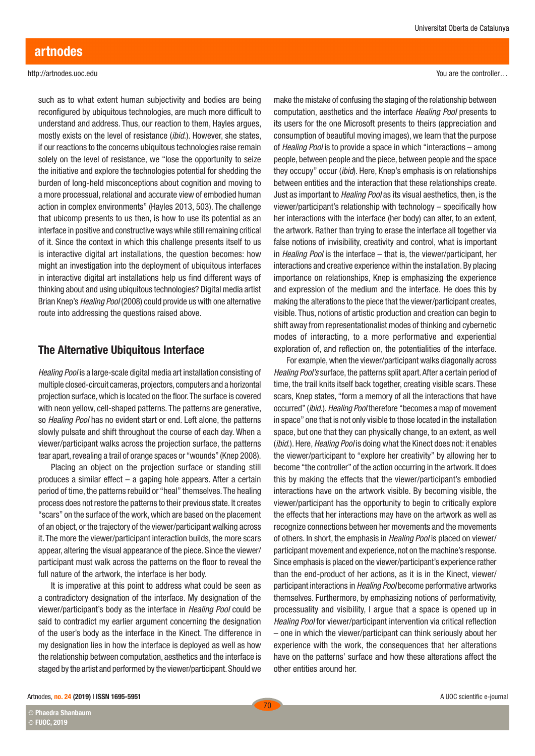such as to what extent human subjectivity and bodies are being reconfigured by ubiquitous technologies, are much more difficult to understand and address. Thus, our reaction to them, Hayles argues, mostly exists on the level of resistance (*ibid*.). However, she states, if our reactions to the concerns ubiquitous technologies raise remain solely on the level of resistance, we "lose the opportunity to seize the initiative and explore the technologies potential for shedding the burden of long-held misconceptions about cognition and moving to a more processual, relational and accurate view of embodied human action in complex environments" (Hayles 2013, 503). The challenge that ubicomp presents to us then, is how to use its potential as an interface in positive and constructive ways while still remaining critical of it. Since the context in which this challenge presents itself to us is interactive digital art installations, the question becomes: how might an investigation into the deployment of ubiquitous interfaces in interactive digital art installations help us find different ways of thinking about and using ubiquitous technologies? Digital media artist Brian Knep's *Healing Pool* (2008) could provide us with one alternative route into addressing the questions raised above.

## The Alternative Ubiquitous Interface

*Healing Pool* is a large-scale digital media art installation consisting of multiple closed-circuit cameras, projectors, computers and a horizontal projection surface, which is located on the floor. The surface is covered with neon yellow, cell-shaped patterns. The patterns are generative, so *Healing Pool* has no evident start or end. Left alone, the patterns slowly pulsate and shift throughout the course of each day. When a viewer/participant walks across the projection surface, the patterns tear apart, revealing a trail of orange spaces or "wounds" (Knep 2008).

Placing an object on the projection surface or standing still produces a similar effect – a gaping hole appears. After a certain period of time, the patterns rebuild or "heal" themselves. The healing process does not restore the patterns to their previous state. It creates "scars" on the surface of the work, which are based on the placement of an object, or the trajectory of the viewer/participant walking across it. The more the viewer/participant interaction builds, the more scars appear, altering the visual appearance of the piece. Since the viewer/ participant must walk across the patterns on the floor to reveal the full nature of the artwork, the interface is her body.

It is imperative at this point to address what could be seen as a contradictory designation of the interface. My designation of the viewer/participant's body as the interface in *Healing Pool* could be said to contradict my earlier argument concerning the designation of the user's body as the interface in the Kinect. The difference in my designation lies in how the interface is deployed as well as how the relationship between computation, aesthetics and the interface is staged by the artist and performed by the viewer/participant. Should we You are the controller…

make the mistake of confusing the staging of the relationship between computation, aesthetics and the interface *Healing Pool* presents to its users for the one Microsoft presents to theirs (appreciation and consumption of beautiful moving images), we learn that the purpose of *Healing Pool* is to provide a space in which "interactions – among people, between people and the piece, between people and the space they occupy" occur (*ibid*). Here, Knep's emphasis is on relationships between entities and the interaction that these relationships create. Just as important to *Healing Pool* as its visual aesthetics, then, is the viewer/participant's relationship with technology – specifically how her interactions with the interface (her body) can alter, to an extent, the artwork. Rather than trying to erase the interface all together via false notions of invisibility, creativity and control, what is important in *Healing Pool* is the interface – that is, the viewer/participant, her interactions and creative experience within the installation. By placing importance on relationships, Knep is emphasizing the experience and expression of the medium and the interface. He does this by making the alterations to the piece that the viewer/participant creates, visible. Thus, notions of artistic production and creation can begin to shift away from representationalist modes of thinking and cybernetic modes of interacting, to a more performative and experiential exploration of, and reflection on, the potentialities of the interface.

For example, when the viewer/participant walks diagonally across *Healing Pool's* surface, the patterns split apart. After a certain period of time, the trail knits itself back together, creating visible scars. These scars, Knep states, "form a memory of all the interactions that have occurred" (*ibid*.). *Healing Pool* therefore "becomes a map of movement in space" one that is not only visible to those located in the installation space, but one that they can physically change, to an extent, as well (*ibid*.). Here, *Healing Pool* is doing what the Kinect does not: it enables the viewer/participant to "explore her creativity" by allowing her to become "the controller" of the action occurring in the artwork. It does this by making the effects that the viewer/participant's embodied interactions have on the artwork visible. By becoming visible, the viewer/participant has the opportunity to begin to critically explore the effects that her interactions may have on the artwork as well as recognize connections between her movements and the movements of others. In short, the emphasis in *Healing Pool* is placed on viewer/ participant movement and experience, not on the machine's response. Since emphasis is placed on the viewer/participant's experience rather than the end-product of her actions, as it is in the Kinect, viewer/ participant interactions in *Healing Pool* become performative artworks themselves. Furthermore, by emphasizing notions of performativity, processuality and visibility, I argue that a space is opened up in *Healing Pool* for viewer/participant intervention via critical reflection – one in which the viewer/participant can think seriously about her experience with the work, the consequences that her alterations have on the patterns' surface and how these alterations affect the other entities around her.